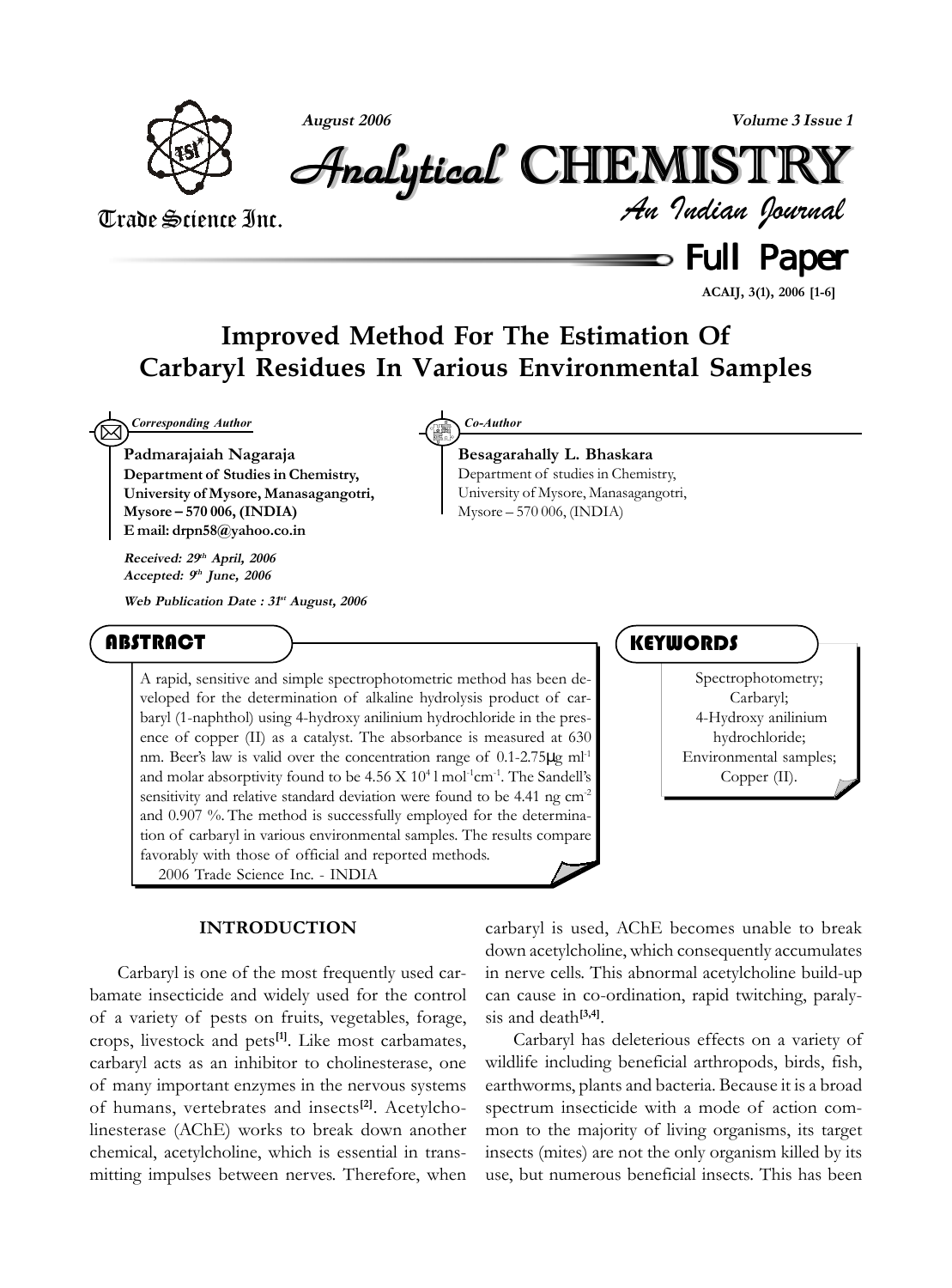

**August 2006 Volume 3 Issue 1**

*An Indian Journal* Analytical Analytical Analytical Analytical Analytical Analytical CHEMISTR CHEMISTR HEMISTR HEMISTRYY

## Trade Science Inc.

 $\equiv$  Full Paper

**ACAIJ, 3(1), 2006 [1-6]**

## **Improved Method For The Estimation Of Carbaryl Residues In Various Environmental Samples**

 $\boxtimes$ *Corresponding Author Co-Author*

**Padmarajaiah Nagaraja Department of Studies in Chemistry, University of Mysore, Manasagangotri, Mysore – 570 006, (INDIA) E mail: drpn58@yahoo.co.in**

**Received: 29th April, 2006 Accepted: 9th June, 2006**

**Web Publication Date : 31st August, 2006**

### **ABSTRACT**

A rapid, sensitive and simple spectrophotometric method has been developed for the determination of alkaline hydrolysis product of carbaryl (1-naphthol) using 4-hydroxy anilinium hydrochloride in the presence of copper (II) as a catalyst. The absorbance is measured at 630 nm. Beer's law is valid over the concentration range of 0.1-2.75µg ml-1 and molar absorptivity found to be  $4.56 \text{ X } 10^4$  l mol<sup>-1</sup>cm<sup>-1</sup>. The Sandell's sensitivity and relative standard deviation were found to be 4.41 ng cm<sup>-2</sup> and 0.907 %. The method is successfully employed for the determination of carbaryl in various environmental samples. The results compare favorably with those of official and reported methods. 2006 Trade Science Inc. - INDIA

#### **INTRODUCTION**

Carbaryl is one of the most frequently used carbamate insecticide and widely used for the control of a variety of pests on fruits, vegetables, forage, crops, livestock and pets**[1]**. Like most carbamates, carbaryl acts as an inhibitor to cholinesterase, one of many important enzymes in the nervous systems of humans, vertebrates and insects**[2]**. Acetylcholinesterase (AChE) works to break down another chemical, acetylcholine, which is essential in transmitting impulses between nerves. Therefore, when

**Besagarahally L. Bhaskara** Department of studies in Chemistry, University of Mysore, Manasagangotri, Mysore – 570 006, (INDIA)

### **KEYWORDS**

Spectrophotometry; Carbaryl; 4-Hydroxy anilinium hydrochloride; Environmental samples; Copper (II).

carbaryl is used, AChE becomes unable to break down acetylcholine, which consequently accumulates in nerve cells. This abnormal acetylcholine build-up can cause in co-ordination, rapid twitching, paralysis and death**[3,4]**.

Carbaryl has deleterious effects on a variety of wildlife including beneficial arthropods, birds, fish, earthworms, plants and bacteria. Because it is a broad spectrum insecticide with a mode of action common to the majority of living organisms, its target insects (mites) are not the only organism killed by its use, but numerous beneficial insects. This has been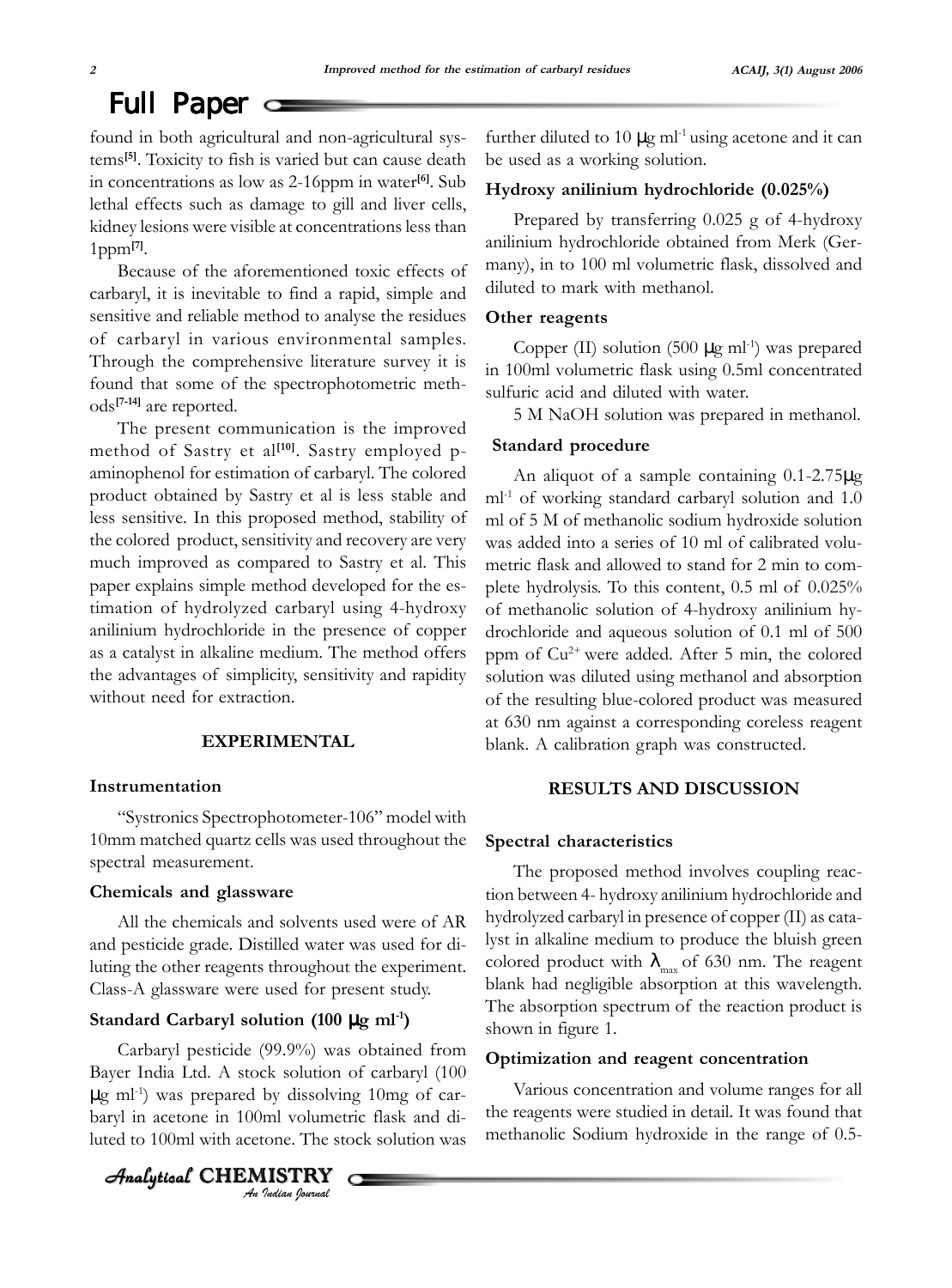# Full Paper

found in both agricultural and non-agricultural systems**[5]**. Toxicity to fish is varied but can cause death in concentrations as low as 2-16ppm in water**[6]**. Sub lethal effects such as damage to gill and liver cells, kidney lesions were visible at concentrations less than 1ppm**[7]**.

Because of the aforementioned toxic effects of carbaryl, it is inevitable to find a rapid, simple and sensitive and reliable method to analyse the residues of carbaryl in various environmental samples. Through the comprehensive literature survey it is found that some of the spectrophotometric methods**[7-14]** are reported.

The present communication is the improved method of Sastry et al<sup>[10]</sup>. Sastry employed paminophenol for estimation of carbaryl. The colored product obtained by Sastry et al is less stable and less sensitive. In this proposed method, stability of the colored product, sensitivity and recovery are very much improved as compared to Sastry et al. This paper explains simple method developed for the estimation of hydrolyzed carbaryl using 4-hydroxy anilinium hydrochloride in the presence of copper as a catalyst in alkaline medium. The method offers the advantages of simplicity, sensitivity and rapidity without need for extraction.

#### **EXPERIMENTAL**

#### **Instrumentation**

"Systronics Spectrophotometer-106" model with 10mm matched quartz cells was used throughout the spectral measurement.

#### **Chemicals and glassware**

All the chemicals and solvents used were of AR and pesticide grade. Distilled water was used for diluting the other reagents throughout the experiment. Class-A glassware were used for present study.

#### **Standard Carbaryl solution (100** µ**g ml-1)**

Carbaryl pesticide (99.9%) was obtained from Bayer India Ltd. A stock solution of carbaryl (100  $\mu$ g ml<sup>-1</sup>) was prepared by dissolving 10mg of carbaryl in acetone in 100ml volumetric flask and diluted to 100ml with acetone. The stock solution was

*An Indian Journal* Analytical  $\,$  <code>CHEMISTRY</code>

further diluted to 10  $\mu$ g ml<sup>-1</sup> using acetone and it can be used as a working solution.

#### **Hydroxy anilinium hydrochloride (0.025%)**

Prepared by transferring 0.025 g of 4-hydroxy anilinium hydrochloride obtained from Merk (Germany), in to 100 ml volumetric flask, dissolved and diluted to mark with methanol.

#### **Other reagents**

Copper (II) solution (500  $\mu$ g ml<sup>-1</sup>) was prepared in 100ml volumetric flask using 0.5ml concentrated sulfuric acid and diluted with water.

5 M NaOH solution was prepared in methanol.

#### **Standard procedure**

An aliquot of a sample containing 0.1-2.75µg ml<sup>-1</sup> of working standard carbaryl solution and 1.0 ml of 5 M of methanolic sodium hydroxide solution was added into a series of 10 ml of calibrated volumetric flask and allowed to stand for 2 min to complete hydrolysis. To this content, 0.5 ml of 0.025% of methanolic solution of 4-hydroxy anilinium hydrochloride and aqueous solution of 0.1 ml of 500 ppm of  $Cu^{2+}$  were added. After 5 min, the colored solution was diluted using methanol and absorption of the resulting blue-colored product was measured at 630 nm against a corresponding coreless reagent blank. A calibration graph was constructed.

#### **RESULTS AND DISCUSSION**

#### **Spectral characteristics**

The proposed method involves coupling reaction between 4- hydroxy anilinium hydrochloride and hydrolyzed carbaryl in presence of copper (II) as catalyst in alkaline medium to produce the bluish green colored product with  $\lambda_{\text{max}}$  of 630 nm. The reagent blank had negligible absorption at this wavelength. The absorption spectrum of the reaction product is shown in figure 1.

#### **Optimization and reagent concentration**

Various concentration and volume ranges for all the reagents were studied in detail. It was found that methanolic Sodium hydroxide in the range of 0.5-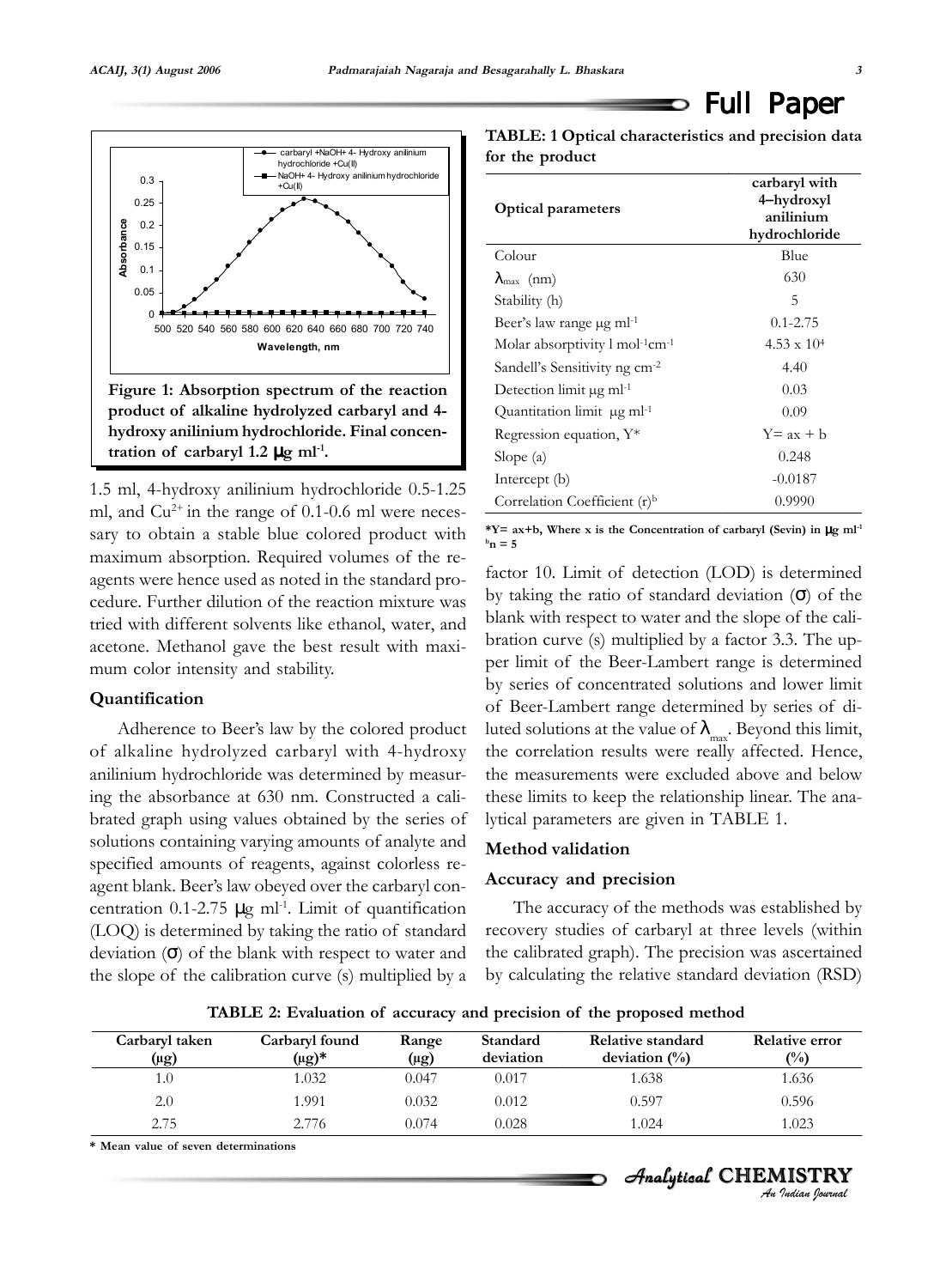

1.5 ml, 4-hydroxy anilinium hydrochloride 0.5-1.25 ml, and  $Cu^{2+}$  in the range of 0.1-0.6 ml were necessary to obtain a stable blue colored product with maximum absorption. Required volumes of the reagents were hence used as noted in the standard procedure. Further dilution of the reaction mixture was tried with different solvents like ethanol, water, and acetone. Methanol gave the best result with maximum color intensity and stability.

#### **Quantification**

Adherence to Beer's law by the colored product of alkaline hydrolyzed carbaryl with 4-hydroxy anilinium hydrochloride was determined by measuring the absorbance at 630 nm. Constructed a calibrated graph using values obtained by the series of solutions containing varying amounts of analyte and specified amounts of reagents, against colorless reagent blank. Beer's law obeyed over the carbaryl concentration  $0.1$ -2.75  $\mu$ g ml<sup>-1</sup>. Limit of quantification (LOQ) is determined by taking the ratio of standard deviation  $(\sigma)$  of the blank with respect to water and the slope of the calibration curve (s) multiplied by a

**TABLE: 1 Optical characteristics and precision data for the product**

| <b>Optical parameters</b>                              | carbaryl with<br>4–hydroxyl<br>anilinium<br>hydrochloride |  |  |
|--------------------------------------------------------|-----------------------------------------------------------|--|--|
| Colour                                                 | Blue                                                      |  |  |
| $\lambda_{\text{max}}$ (nm)                            | 630                                                       |  |  |
| Stability (h)                                          | 5                                                         |  |  |
| Beer's law range µg ml <sup>-1</sup>                   | $0.1 - 2.75$                                              |  |  |
| Molar absorptivity $1 \text{ mol}^{-1} \text{cm}^{-1}$ | $4.53 \times 10^{4}$                                      |  |  |
| Sandell's Sensitivity ng cm <sup>-2</sup>              | 4.40                                                      |  |  |
| Detection limit $\mu$ g ml <sup>-1</sup>               | 0.03                                                      |  |  |
| Quantitation limit µg ml-1                             | 0.09                                                      |  |  |
| Regression equation, Y*                                | $Y = ax + b$                                              |  |  |
| Slope $(a)$                                            | 0.248                                                     |  |  |
| Intercept (b)                                          | $-0.0187$                                                 |  |  |
| Correlation Coefficient $(r)^b$                        | 0.9990                                                    |  |  |

\*Y=  $ax + b$ , Where x is the Concentration of carbaryl (Sevin) in  $\mu g$  ml<sup>-1</sup>  $^{\rm b}$ **n** = 5

factor 10. Limit of detection (LOD) is determined by taking the ratio of standard deviation  $(\sigma)$  of the blank with respect to water and the slope of the calibration curve (s) multiplied by a factor 3.3. The upper limit of the Beer-Lambert range is determined by series of concentrated solutions and lower limit of Beer-Lambert range determined by series of diluted solutions at the value of  $\lambda_{\text{max}}$ . Beyond this limit, the correlation results were really affected. Hence, the measurements were excluded above and below these limits to keep the relationship linear. The analytical parameters are given in TABLE 1.

#### **Method validation**

#### **Accuracy and precision**

The accuracy of the methods was established by recovery studies of carbaryl at three levels (within the calibrated graph). The precision was ascertained by calculating the relative standard deviation (RSD)

**TABLE 2: Evaluation of accuracy and precision of the proposed method**

| Carbaryl taken | Carbaryl found | Range     | Standard  | Relative standard | <b>Relative error</b> |
|----------------|----------------|-----------|-----------|-------------------|-----------------------|
| (µg)           | $(\mu g)^*$    | $(\mu g)$ | deviation | deviation $(\%)$  | (%)                   |
| 1.0            | 1.032          | 0.047     | 0.017     | 1.638             | 1.636                 |
| 2.0            | 1.991          | 0.032     | 0.012     | 0.597             | 0.596                 |
| 2.75           | 2.776          | 0.074     | 0.028     | 1.024             | 1.023                 |

**\* Mean value of seven determinations**

*An Indian Journal* Analytical  $\,$  <code>CHEMISTRY</code>

Full Paper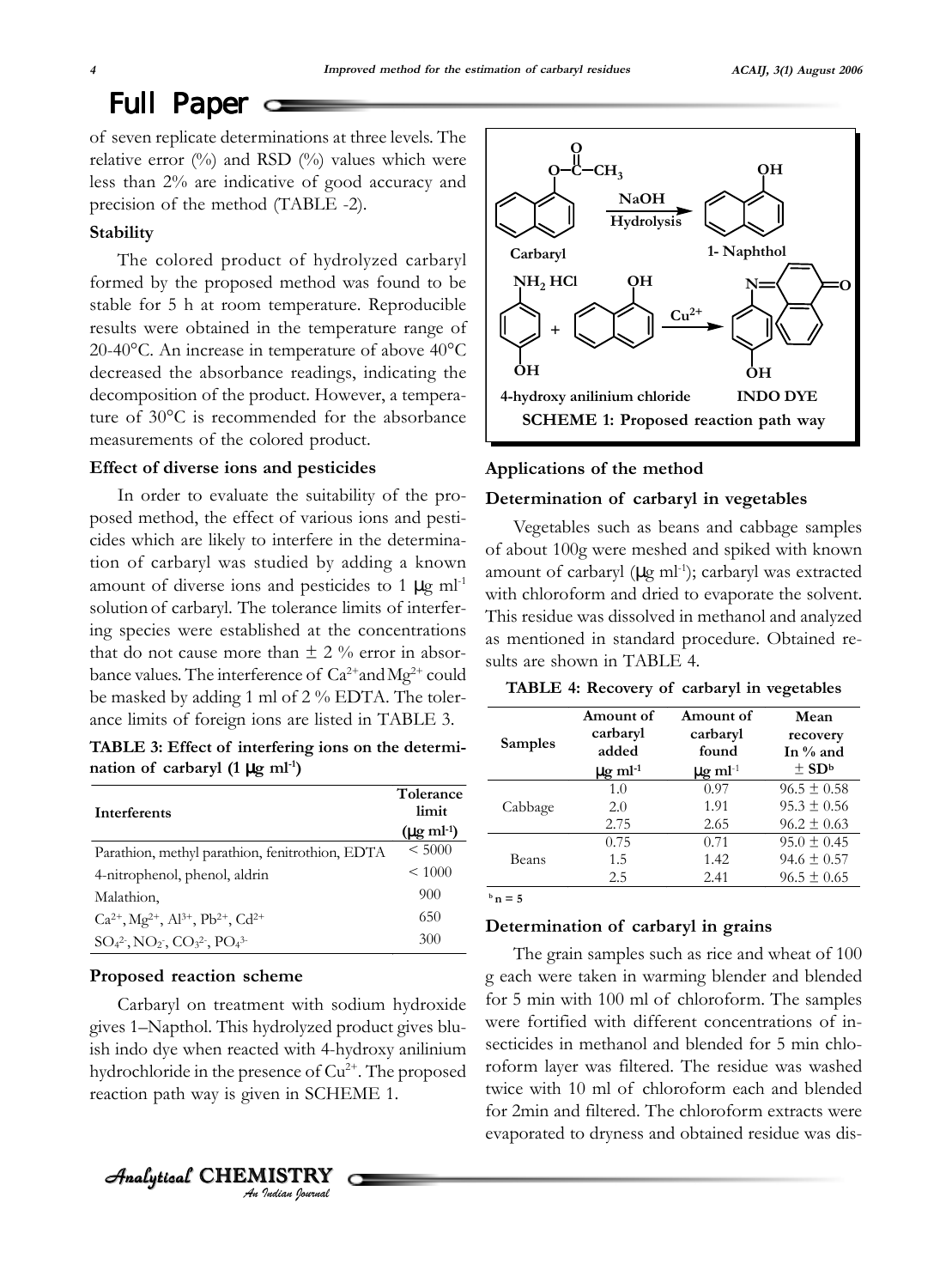## Full Paper  $\equiv$

of seven replicate determinations at three levels. The relative error  $(^{0}_{0})$  and RSD  $(^{0}_{0})$  values which were less than 2% are indicative of good accuracy and precision of the method (TABLE -2).

#### **Stability**

The colored product of hydrolyzed carbaryl formed by the proposed method was found to be stable for 5 h at room temperature. Reproducible results were obtained in the temperature range of 20-40°C. An increase in temperature of above 40°C decreased the absorbance readings, indicating the decomposition of the product. However, a temperature of 30°C is recommended for the absorbance measurements of the colored product.

#### **Effect of diverse ions and pesticides**

In order to evaluate the suitability of the proposed method, the effect of various ions and pesticides which are likely to interfere in the determination of carbaryl was studied by adding a known amount of diverse ions and pesticides to 1  $\mu$ g ml<sup>-1</sup> solution of carbaryl. The tolerance limits of interfering species were established at the concentrations that do not cause more than  $\pm$  2 % error in absorbance values. The interference of  $Ca^{2+}$  and  $Mg^{2+}$  could be masked by adding 1 ml of 2 % EDTA. The tolerance limits of foreign ions are listed in TABLE 3.

**TABLE 3: Effect of interfering ions on the determi**nation of carbaryl  $(1 \mu g \text{ ml}^{-1})$ 

| Interferents                                                                          | Tolerance<br>limit<br>$(\mu g \text{ ml-1})$ |
|---------------------------------------------------------------------------------------|----------------------------------------------|
| Parathion, methyl parathion, fenitrothion, EDTA                                       | < 5000                                       |
| 4-nitrophenol, phenol, aldrin                                                         | ${}< 1000$                                   |
| Malathion,                                                                            | 900                                          |
| $Ca^{2+}$ , Mg <sup>2+</sup> , Al <sup>3+</sup> , Pb <sup>2+</sup> , Cd <sup>2+</sup> | 650                                          |
| $SO_4^2$ , $NO_2$ , $CO_3^2$ , $PO_4^3$                                               | 300                                          |

#### **Proposed reaction scheme**

Analytical  $\,$  <code>CHEMISTRY</code>

Carbaryl on treatment with sodium hydroxide gives 1–Napthol. This hydrolyzed product gives bluish indo dye when reacted with 4-hydroxy anilinium hydrochloride in the presence of  $Cu^{2+}$ . The proposed reaction path way is given in SCHEME 1.

*An Indian Journal*



#### **Applications of the method**

#### **Determination of carbaryl in vegetables**

Vegetables such as beans and cabbage samples of about 100g were meshed and spiked with known amount of carbaryl  $(\mu g \text{ ml}^{-1})$ ; carbaryl was extracted with chloroform and dried to evaporate the solvent. This residue was dissolved in methanol and analyzed as mentioned in standard procedure. Obtained results are shown in TABLE 4.

| <b>Samples</b> | Amount of                | Amount of                | Mean                  |
|----------------|--------------------------|--------------------------|-----------------------|
|                | carbaryl                 | carbaryl                 | recovery              |
|                | added                    | found                    | In $\%$ and           |
|                | $\mu$ g ml <sup>-1</sup> | $\mu$ g ml <sup>-1</sup> | $\pm$ SD <sup>b</sup> |
| Cabbage        | 1.0                      | 0.97                     | $96.5 \pm 0.58$       |
|                | 2.0                      | 1.91                     | $95.3 \pm 0.56$       |
|                | 2.75                     | 2.65                     | $96.2 \pm 0.63$       |
| Beans          | 0.75                     | 0.71                     | $95.0 \pm 0.45$       |
|                | 1.5                      | 1.42                     | $94.6 \pm 0.57$       |
|                | 2.5                      | 2.41                     | $96.5 \pm 0.65$       |

 **n = 5** 

#### **Determination of carbaryl in grains**

The grain samples such as rice and wheat of 100 g each were taken in warming blender and blended for 5 min with 100 ml of chloroform. The samples were fortified with different concentrations of insecticides in methanol and blended for 5 min chloroform layer was filtered. The residue was washed twice with 10 ml of chloroform each and blended for 2min and filtered. The chloroform extracts were evaporated to dryness and obtained residue was dis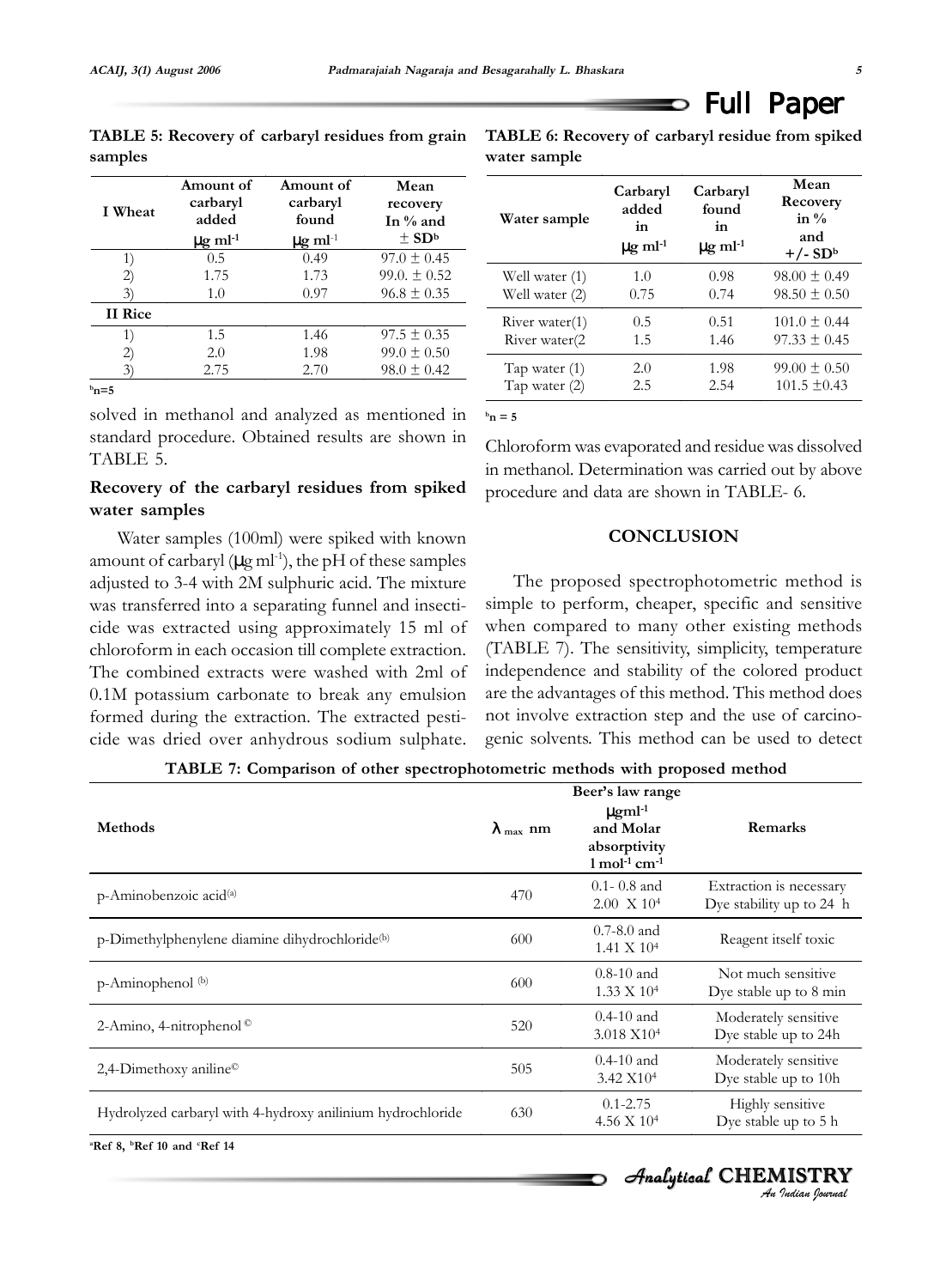**samples**

Full Paper

| TABLE 5: Recovery of carbaryl residues from grain TABLE ( |           |
|-----------------------------------------------------------|-----------|
| samples                                                   | water sai |

6: Recovery of carbaryl residue from spiked **water sample**

O

| I Wheat        | Amount of<br>carbaryl<br>added<br>$\mu$ g ml <sup>-1</sup> | Amount of<br>carbaryl<br>found<br>$\mu$ g ml <sup>-1</sup> | Mean<br>recovery<br>In $\%$ and<br>$\pm$ SD <sup>b</sup> |
|----------------|------------------------------------------------------------|------------------------------------------------------------|----------------------------------------------------------|
| 1)             | 0.5                                                        | 0.49                                                       | $97.0 \pm 0.45$                                          |
| (2)            | 1.75                                                       | 1.73                                                       | $99.0 \pm 0.52$                                          |
| 3)             | 1.0                                                        | 0.97                                                       | $96.8 \pm 0.35$                                          |
| <b>II</b> Rice |                                                            |                                                            |                                                          |
| 1)             | 1.5                                                        | 1.46                                                       | $97.5 \pm 0.35$                                          |
| 2)             | 2.0                                                        | 1.98                                                       | $99.0 \pm 0.50$                                          |
| 3)             | 2.75                                                       | 2.70                                                       | $98.0 \pm 0.42$                                          |
| $^{\rm b}$ n=5 |                                                            |                                                            |                                                          |

**Water sample Carbaryl added in**   $\mu$ g ml<sup>-1</sup> **Carbaryl found in**   $\mu$ g ml<sup>-1</sup> **Mean Recovery in % and +/- SDb** Well water (1) Well water (2) 1.0 0.75 0.98 0.74  $98.00 \pm 0.49$  $98.50 \pm 0.50$ River water(1) River water(2 0.5 1.5 0.51 1.46  $101.0 \pm 0.44$  $97.33 \pm 0.45$ Tap water (1) Tap water (2) 2.0 2.5 1.98 2.54  $99.00 \pm 0.50$ 101.5 ±0.43

 $$ 

solved in methanol and analyzed as mentioned in standard procedure. Obtained results are shown in TABLE 5.

#### **Recovery of the carbaryl residues from spiked water samples**

Water samples (100ml) were spiked with known amount of carbaryl ( $\mu$ g ml<sup>-1</sup>), the pH of these samples adjusted to 3-4 with 2M sulphuric acid. The mixture was transferred into a separating funnel and insecticide was extracted using approximately 15 ml of chloroform in each occasion till complete extraction. The combined extracts were washed with 2ml of 0.1M potassium carbonate to break any emulsion formed during the extraction. The extracted pesticide was dried over anhydrous sodium sulphate.

Chloroform was evaporated and residue was dissolved in methanol. Determination was carried out by above procedure and data are shown in TABLE- 6.

#### **CONCLUSION**

The proposed spectrophotometric method is simple to perform, cheaper, specific and sensitive when compared to many other existing methods (TABLE 7). The sensitivity, simplicity, temperature independence and stability of the colored product are the advantages of this method. This method does not involve extraction step and the use of carcinogenic solvents. This method can be used to detect

**TABLE 7: Comparison of other spectrophotometric methods with proposed method**

| <b>Methods</b>                                             | $\lambda$ <sub>max</sub> nm | Beer's law range<br>$\mu$ gml <sup>-1</sup><br>and Molar<br>absorptivity      | Remarks                                             |
|------------------------------------------------------------|-----------------------------|-------------------------------------------------------------------------------|-----------------------------------------------------|
| p-Aminobenzoic acid <sup>(a)</sup>                         | 470                         | $1 \text{ mol}^{-1} \text{ cm}^{-1}$<br>$0.1 - 0.8$ and<br>$2.00 \times 10^4$ | Extraction is necessary<br>Dye stability up to 24 h |
| p-Dimethylphenylene diamine dihydrochloride <sup>(b)</sup> | 600                         | $0.7 - 8.0$ and<br>$1.41 \times 10^{4}$                                       | Reagent itself toxic                                |
| p-Aminophenol <sup>(b)</sup>                               | 600                         | $0.8 - 10$ and<br>$1.33 \times 10^{4}$                                        | Not much sensitive<br>Dye stable up to 8 min        |
| 2-Amino, 4-nitrophenol <sup>o</sup>                        | 520                         | $0.4 - 10$ and<br>$3.018 \text{ X}10^4$                                       | Moderately sensitive<br>Dye stable up to 24h        |
| 2,4-Dimethoxy aniline <sup><math>\odot</math></sup>        | 505                         | $0.4-10$ and<br>3.42 X10 <sup>4</sup>                                         | Moderately sensitive<br>Dye stable up to 10h        |
| Hydrolyzed carbaryl with 4-hydroxy anilinium hydrochloride | 630                         | $0.1 - 2.75$<br>4.56 X 10 <sup>4</sup>                                        | Highly sensitive<br>Dye stable up to 5 h            |

<sup>&</sup>lt;sup>a</sup>Ref 8, <sup>b</sup>Ref 10 and <sup>c</sup>Ref 14